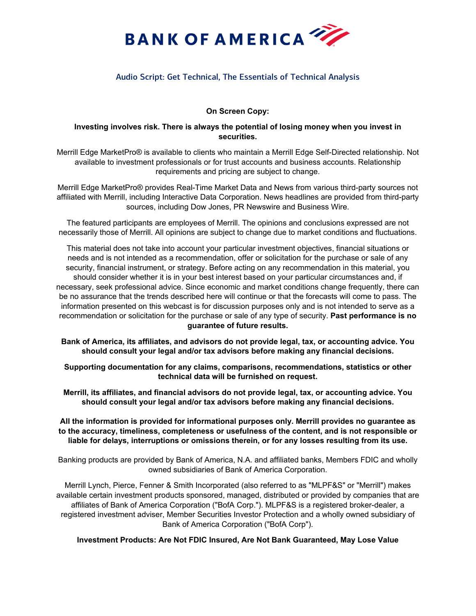

## Audio Script: Get Technical, The Essentials of Technical Analysis

## **On Screen Copy:**

## **Investing involves risk. There is always the potential of losing money when you invest in securities.**

Merrill Edge MarketPro® is available to clients who maintain a Merrill Edge Self-Directed relationship. Not available to investment professionals or for trust accounts and business accounts. Relationship requirements and pricing are subject to change.

Merrill Edge MarketPro® provides Real-Time Market Data and News from various third-party sources not affiliated with Merrill, including Interactive Data Corporation. News headlines are provided from third-party sources, including Dow Jones, PR Newswire and Business Wire.

The featured participants are employees of Merrill. The opinions and conclusions expressed are not necessarily those of Merrill. All opinions are subject to change due to market conditions and fluctuations.

This material does not take into account your particular investment objectives, financial situations or needs and is not intended as a recommendation, offer or solicitation for the purchase or sale of any security, financial instrument, or strategy. Before acting on any recommendation in this material, you should consider whether it is in your best interest based on your particular circumstances and, if necessary, seek professional advice. Since economic and market conditions change frequently, there can be no assurance that the trends described here will continue or that the forecasts will come to pass. The information presented on this webcast is for discussion purposes only and is not intended to serve as a recommendation or solicitation for the purchase or sale of any type of security. **Past performance is no guarantee of future results.**

**Bank of America, its affiliates, and advisors do not provide legal, tax, or accounting advice. You should consult your legal and/or tax advisors before making any financial decisions.**

**Supporting documentation for any claims, comparisons, recommendations, statistics or other technical data will be furnished on request.** 

**Merrill, its affiliates, and financial advisors do not provide legal, tax, or accounting advice. You should consult your legal and/or tax advisors before making any financial decisions.** 

**All the information is provided for informational purposes only. Merrill provides no guarantee as to the accuracy, timeliness, completeness or usefulness of the content, and is not responsible or liable for delays, interruptions or omissions therein, or for any losses resulting from its use.**

Banking products are provided by Bank of America, N.A. and affiliated banks, Members FDIC and wholly owned subsidiaries of Bank of America Corporation.

Merrill Lynch, Pierce, Fenner & Smith Incorporated (also referred to as "MLPF&S" or "Merrill") makes available certain investment products sponsored, managed, distributed or provided by companies that are affiliates of Bank of America Corporation ("BofA Corp."). MLPF&S is a registered broker-dealer, a registered investment adviser, Member Securities Investor Protection and a wholly owned subsidiary of Bank of America Corporation ("BofA Corp").

**Investment Products: Are Not FDIC Insured, Are Not Bank Guaranteed, May Lose Value**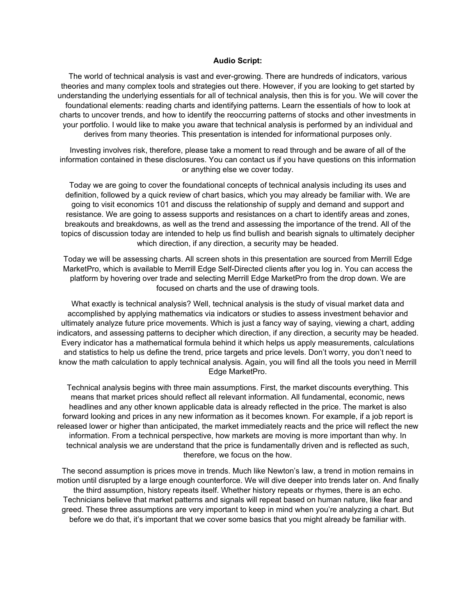## **Audio Script:**

The world of technical analysis is vast and ever-growing. There are hundreds of indicators, various theories and many complex tools and strategies out there. However, if you are looking to get started by understanding the underlying essentials for all of technical analysis, then this is for you. We will cover the foundational elements: reading charts and identifying patterns. Learn the essentials of how to look at charts to uncover trends, and how to identify the reoccurring patterns of stocks and other investments in your portfolio. I would like to make you aware that technical analysis is performed by an individual and derives from many theories. This presentation is intended for informational purposes only.

Investing involves risk, therefore, please take a moment to read through and be aware of all of the information contained in these disclosures. You can contact us if you have questions on this information or anything else we cover today.

Today we are going to cover the foundational concepts of technical analysis including its uses and definition, followed by a quick review of chart basics, which you may already be familiar with. We are going to visit economics 101 and discuss the relationship of supply and demand and support and resistance. We are going to assess supports and resistances on a chart to identify areas and zones, breakouts and breakdowns, as well as the trend and assessing the importance of the trend. All of the topics of discussion today are intended to help us find bullish and bearish signals to ultimately decipher which direction, if any direction, a security may be headed.

Today we will be assessing charts. All screen shots in this presentation are sourced from Merrill Edge MarketPro, which is available to Merrill Edge Self-Directed clients after you log in. You can access the platform by hovering over trade and selecting Merrill Edge MarketPro from the drop down. We are focused on charts and the use of drawing tools.

What exactly is technical analysis? Well, technical analysis is the study of visual market data and accomplished by applying mathematics via indicators or studies to assess investment behavior and ultimately analyze future price movements. Which is just a fancy way of saying, viewing a chart, adding indicators, and assessing patterns to decipher which direction, if any direction, a security may be headed. Every indicator has a mathematical formula behind it which helps us apply measurements, calculations and statistics to help us define the trend, price targets and price levels. Don't worry, you don't need to know the math calculation to apply technical analysis. Again, you will find all the tools you need in Merrill Edge MarketPro.

Technical analysis begins with three main assumptions. First, the market discounts everything. This means that market prices should reflect all relevant information. All fundamental, economic, news headlines and any other known applicable data is already reflected in the price. The market is also forward looking and prices in any new information as it becomes known. For example, if a job report is released lower or higher than anticipated, the market immediately reacts and the price will reflect the new information. From a technical perspective, how markets are moving is more important than why. In technical analysis we are understand that the price is fundamentally driven and is reflected as such, therefore, we focus on the how.

The second assumption is prices move in trends. Much like Newton's law, a trend in motion remains in motion until disrupted by a large enough counterforce. We will dive deeper into trends later on. And finally the third assumption, history repeats itself. Whether history repeats or rhymes, there is an echo. Technicians believe that market patterns and signals will repeat based on human nature, like fear and greed. These three assumptions are very important to keep in mind when you're analyzing a chart. But before we do that, it's important that we cover some basics that you might already be familiar with.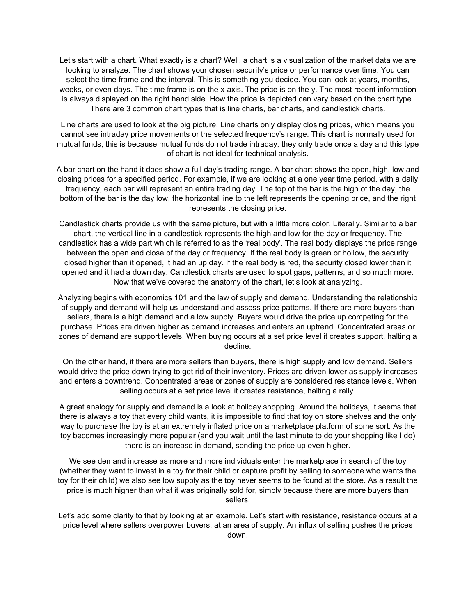Let's start with a chart. What exactly is a chart? Well, a chart is a visualization of the market data we are looking to analyze. The chart shows your chosen security's price or performance over time. You can select the time frame and the interval. This is something you decide. You can look at years, months, weeks, or even days. The time frame is on the x-axis. The price is on the y. The most recent information is always displayed on the right hand side. How the price is depicted can vary based on the chart type. There are 3 common chart types that is line charts, bar charts, and candlestick charts.

Line charts are used to look at the big picture. Line charts only display closing prices, which means you cannot see intraday price movements or the selected frequency's range. This chart is normally used for mutual funds, this is because mutual funds do not trade intraday, they only trade once a day and this type of chart is not ideal for technical analysis.

A bar chart on the hand it does show a full day's trading range. A bar chart shows the open, high, low and closing prices for a specified period. For example, if we are looking at a one year time period, with a daily frequency, each bar will represent an entire trading day. The top of the bar is the high of the day, the bottom of the bar is the day low, the horizontal line to the left represents the opening price, and the right represents the closing price.

Candlestick charts provide us with the same picture, but with a little more color. Literally. Similar to a bar chart, the vertical line in a candlestick represents the high and low for the day or frequency. The candlestick has a wide part which is referred to as the 'real body'. The real body displays the price range between the open and close of the day or frequency. If the real body is green or hollow, the security closed higher than it opened, it had an up day. If the real body is red, the security closed lower than it opened and it had a down day. Candlestick charts are used to spot gaps, patterns, and so much more. Now that we've covered the anatomy of the chart, let's look at analyzing.

Analyzing begins with economics 101 and the law of supply and demand. Understanding the relationship of supply and demand will help us understand and assess price patterns. If there are more buyers than sellers, there is a high demand and a low supply. Buyers would drive the price up competing for the purchase. Prices are driven higher as demand increases and enters an uptrend. Concentrated areas or zones of demand are support levels. When buying occurs at a set price level it creates support, halting a decline.

On the other hand, if there are more sellers than buyers, there is high supply and low demand. Sellers would drive the price down trying to get rid of their inventory. Prices are driven lower as supply increases and enters a downtrend. Concentrated areas or zones of supply are considered resistance levels. When selling occurs at a set price level it creates resistance, halting a rally.

A great analogy for supply and demand is a look at holiday shopping. Around the holidays, it seems that there is always a toy that every child wants, it is impossible to find that toy on store shelves and the only way to purchase the toy is at an extremely inflated price on a marketplace platform of some sort. As the toy becomes increasingly more popular (and you wait until the last minute to do your shopping like I do) there is an increase in demand, sending the price up even higher.

We see demand increase as more and more individuals enter the marketplace in search of the toy (whether they want to invest in a toy for their child or capture profit by selling to someone who wants the toy for their child) we also see low supply as the toy never seems to be found at the store. As a result the price is much higher than what it was originally sold for, simply because there are more buyers than sellers.

Let's add some clarity to that by looking at an example. Let's start with resistance, resistance occurs at a price level where sellers overpower buyers, at an area of supply. An influx of selling pushes the prices down.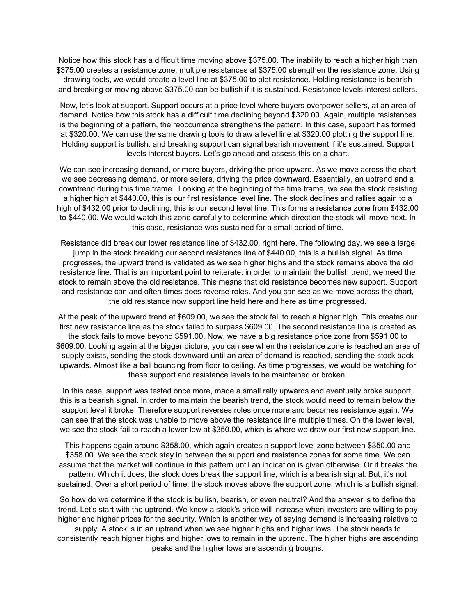Notice how this stock has a difficult time moving above \$375.00. The inability to reach a higher high than \$375.00 creates a resistance zone, multiple resistances at \$375.00 strengthen the resistance zone. Using drawing tools, we would create a level line at \$375.00 to plot resistance. Holding resistance is bearish and breaking or moving above \$375.00 can be bullish if it is sustained. Resistance levels interest sellers.

Now, let's look at support. Support occurs at a price level where buyers overpower sellers, at an area of demand. Notice how this stock has a difficult time declining beyond \$320.00. Again, multiple resistances is the beginning of a pattern, the reoccurrence strengthens the pattern. In this case, support has formed at \$320.00. We can use the same drawing tools to draw a level line at \$320.00 plotting the support line. Holding support is bullish, and breaking support can signal bearish movement if it's sustained. Support levels interest buyers. Let's go ahead and assess this on a chart.

We can see increasing demand, or more buyers, driving the price upward. As we move across the chart we see decreasing demand, or more sellers, driving the price downward. Essentially, an uptrend and a downtrend during this time frame. Looking at the beginning of the time frame, we see the stock resisting a higher high at \$440.00, this is our first resistance level line. The stock declines and rallies again to a high of \$432.00 prior to declining, this is our second level line. This forms a resistance zone from \$432.00 to \$440.00. We would watch this zone carefully to determine which direction the stock will move next. In this case, resistance was sustained for a small period of time.

Resistance did break our lower resistance line of \$432.00, right here. The following day, we see a large jump in the stock breaking our second resistance line of \$440.00, this is a bullish signal. As time progresses, the upward trend is validated as we see higher highs and the stock remains above the old resistance line. That is an important point to reiterate: in order to maintain the bullish trend, we need the stock to remain above the old resistance. This means that old resistance becomes new support. Support and resistance can and often times does reverse roles. And you can see as we move across the chart, the old resistance now support line held here and here as time progressed.

At the peak of the upward trend at \$609.00, we see the stock fail to reach a higher high. This creates our first new resistance line as the stock failed to surpass \$609.00. The second resistance line is created as the stock fails to move beyond \$591.00. Now, we have a big resistance price zone from \$591.00 to \$609.00. Looking again at the bigger picture, you can see when the resistance zone is reached an area of supply exists, sending the stock downward until an area of demand is reached, sending the stock back upwards. Almost like a ball bouncing from floor to ceiling. As time progresses, we would be watching for these support and resistance levels to be maintained or broken.

In this case, support was tested once more, made a small rally upwards and eventually broke support, this is a bearish signal. In order to maintain the bearish trend, the stock would need to remain below the support level it broke. Therefore support reverses roles once more and becomes resistance again. We can see that the stock was unable to move above the resistance line multiple times. On the lower level, we see the stock fail to reach a lower low at \$350.00, which is where we draw our first new support line.

This happens again around \$358.00, which again creates a support level zone between \$350.00 and \$358.00. We see the stock stay in between the support and resistance zones for some time. We can assume that the market will continue in this pattern until an indication is given otherwise. Or it breaks the pattern. Which it does, the stock does break the support line, which is a bearish signal. But, it's not sustained. Over a short period of time, the stock moves above the support zone, which is a bullish signal.

So how do we determine if the stock is bullish, bearish, or even neutral? And the answer is to define the trend. Let's start with the uptrend. We know a stock's price will increase when investors are willing to pay higher and higher prices for the security. Which is another way of saying demand is increasing relative to

supply. A stock is in an uptrend when we see higher highs and higher lows. The stock needs to consistently reach higher highs and higher lows to remain in the uptrend. The higher highs are ascending peaks and the higher lows are ascending troughs.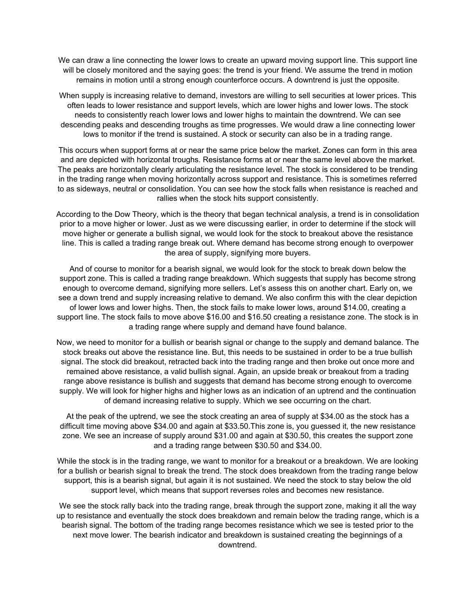We can draw a line connecting the lower lows to create an upward moving support line. This support line will be closely monitored and the saying goes: the trend is your friend. We assume the trend in motion remains in motion until a strong enough counterforce occurs. A downtrend is just the opposite.

When supply is increasing relative to demand, investors are willing to sell securities at lower prices. This often leads to lower resistance and support levels, which are lower highs and lower lows. The stock needs to consistently reach lower lows and lower highs to maintain the downtrend. We can see descending peaks and descending troughs as time progresses. We would draw a line connecting lower lows to monitor if the trend is sustained. A stock or security can also be in a trading range.

This occurs when support forms at or near the same price below the market. Zones can form in this area and are depicted with horizontal troughs. Resistance forms at or near the same level above the market. The peaks are horizontally clearly articulating the resistance level. The stock is considered to be trending in the trading range when moving horizontally across support and resistance. This is sometimes referred to as sideways, neutral or consolidation. You can see how the stock falls when resistance is reached and rallies when the stock hits support consistently.

According to the Dow Theory, which is the theory that began technical analysis, a trend is in consolidation prior to a move higher or lower. Just as we were discussing earlier, in order to determine if the stock will move higher or generate a bullish signal, we would look for the stock to breakout above the resistance line. This is called a trading range break out. Where demand has become strong enough to overpower the area of supply, signifying more buyers.

And of course to monitor for a bearish signal, we would look for the stock to break down below the support zone. This is called a trading range breakdown. Which suggests that supply has become strong enough to overcome demand, signifying more sellers. Let's assess this on another chart. Early on, we see a down trend and supply increasing relative to demand. We also confirm this with the clear depiction of lower lows and lower highs. Then, the stock fails to make lower lows, around \$14.00, creating a support line. The stock fails to move above \$16.00 and \$16.50 creating a resistance zone. The stock is in a trading range where supply and demand have found balance.

Now, we need to monitor for a bullish or bearish signal or change to the supply and demand balance. The stock breaks out above the resistance line. But, this needs to be sustained in order to be a true bullish signal. The stock did breakout, retracted back into the trading range and then broke out once more and remained above resistance, a valid bullish signal. Again, an upside break or breakout from a trading range above resistance is bullish and suggests that demand has become strong enough to overcome supply. We will look for higher highs and higher lows as an indication of an uptrend and the continuation of demand increasing relative to supply. Which we see occurring on the chart.

At the peak of the uptrend, we see the stock creating an area of supply at \$34.00 as the stock has a difficult time moving above \$34.00 and again at \$33.50.This zone is, you guessed it, the new resistance zone. We see an increase of supply around \$31.00 and again at \$30.50, this creates the support zone and a trading range between \$30.50 and \$34.00.

While the stock is in the trading range, we want to monitor for a breakout or a breakdown. We are looking for a bullish or bearish signal to break the trend. The stock does breakdown from the trading range below support, this is a bearish signal, but again it is not sustained. We need the stock to stay below the old support level, which means that support reverses roles and becomes new resistance.

We see the stock rally back into the trading range, break through the support zone, making it all the way up to resistance and eventually the stock does breakdown and remain below the trading range, which is a bearish signal. The bottom of the trading range becomes resistance which we see is tested prior to the next move lower. The bearish indicator and breakdown is sustained creating the beginnings of a downtrend.